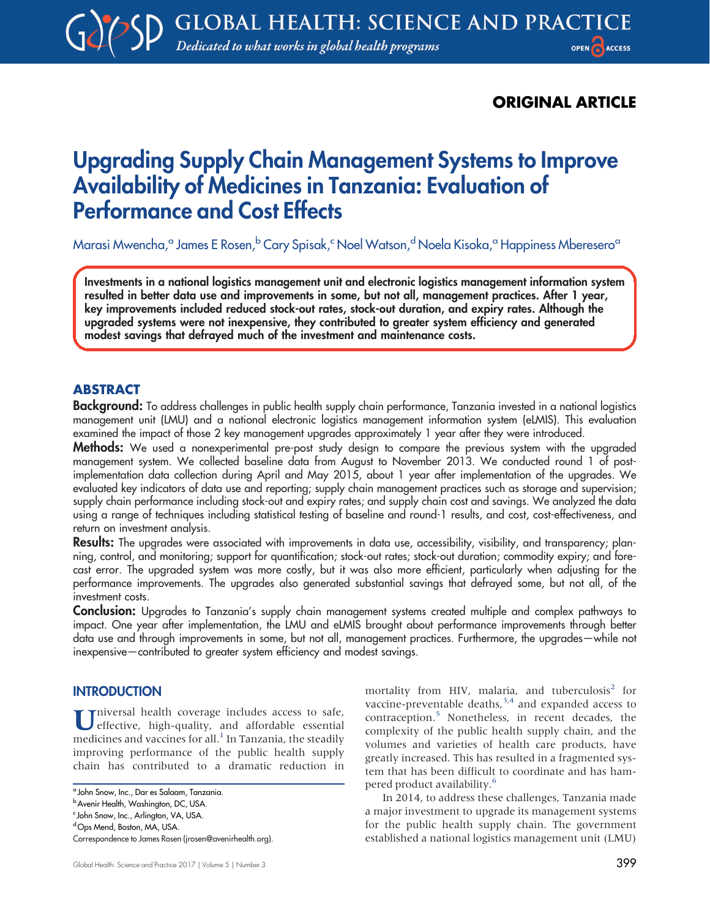# ORIGINAL ARTICLE

# Upgrading Supply Chain Management Systems to Improve Availability of Medicines in Tanzania: Evaluation of Performance and Cost Effects

Marasi Mwencha,<sup>a</sup> James E Rosen,<sup>b</sup> Cary Spisak,<sup>c</sup> Noel Watson,<sup>d</sup> Noela Kisoka,<sup>a</sup> Happiness Mberesero<sup>a</sup>

Investments in a national logistics management unit and electronic logistics management information system resulted in better data use and improvements in some, but not all, management practices. After 1 year, key improvements included reduced stock-out rates, stock-out duration, and expiry rates. Although the upgraded systems were not inexpensive, they contributed to greater system efficiency and generated modest savings that defrayed much of the investment and maintenance costs.

# ABSTRACT

Background: To address challenges in public health supply chain performance, Tanzania invested in a national logistics management unit (LMU) and a national electronic logistics management information system (eLMIS). This evaluation examined the impact of those 2 key management upgrades approximately 1 year after they were introduced.

**Methods:** We used a nonexperimental pre-post study design to compare the previous system with the upgraded management system. We collected baseline data from August to November 2013. We conducted round 1 of postimplementation data collection during April and May 2015, about 1 year after implementation of the upgrades. We evaluated key indicators of data use and reporting; supply chain management practices such as storage and supervision; supply chain performance including stock-out and expiry rates; and supply chain cost and savings. We analyzed the data using a range of techniques including statistical testing of baseline and round-1 results, and cost, cost-effectiveness, and return on investment analysis.

Results: The upgrades were associated with improvements in data use, accessibility, visibility, and transparency; planning, control, and monitoring; support for quantification; stock-out rates; stock-out duration; commodity expiry; and forecast error. The upgraded system was more costly, but it was also more efficient, particularly when adjusting for the performance improvements. The upgrades also generated substantial savings that defrayed some, but not all, of the investment costs.

Conclusion: Upgrades to Tanzania's supply chain management systems created multiple and complex pathways to impact. One year after implementation, the LMU and eLMIS brought about performance improvements through better data use and through improvements in some, but not all, management practices. Furthermore, the upgrades—while not inexpensive—contributed to greater system efficiency and modest savings.

# **INTRODUCTION**

Universal health coverage includes access to safe,<br>effective, high-quality, and affordable essential medicines and vaccines for all.<sup>[1](#page-11-0)</sup> In Tanzania, the steadily improving performance of the public health supply chain has contributed to a dramatic reduction in mortality from HIV, malaria, and tuberculosis $2$  for vaccine-preventable deaths, $3,4$  $3,4$  and expanded access to contraception.[5](#page-11-4) Nonetheless, in recent decades, the complexity of the public health supply chain, and the volumes and varieties of health care products, have greatly increased. This has resulted in a fragmented system that has been difficult to coordinate and has hampered product availability[.6](#page-11-5)

In 2014, to address these challenges, Tanzania made a major investment to upgrade its management systems for the public health supply chain. The government established a national logistics management unit (LMU)

<sup>&</sup>lt;sup>a</sup> John Snow, Inc., Dar es Salaam, Tanzania.

b Avenir Health, Washington, DC, USA.

<sup>&</sup>lt;sup>c</sup> John Snow, Inc., Arlington, VA, USA.

dOps Mend, Boston, MA, USA.

Correspondence to James Rosen [\(jrosen@avenirhealth.org\)](mailto:jrosen@avenirhealth.org).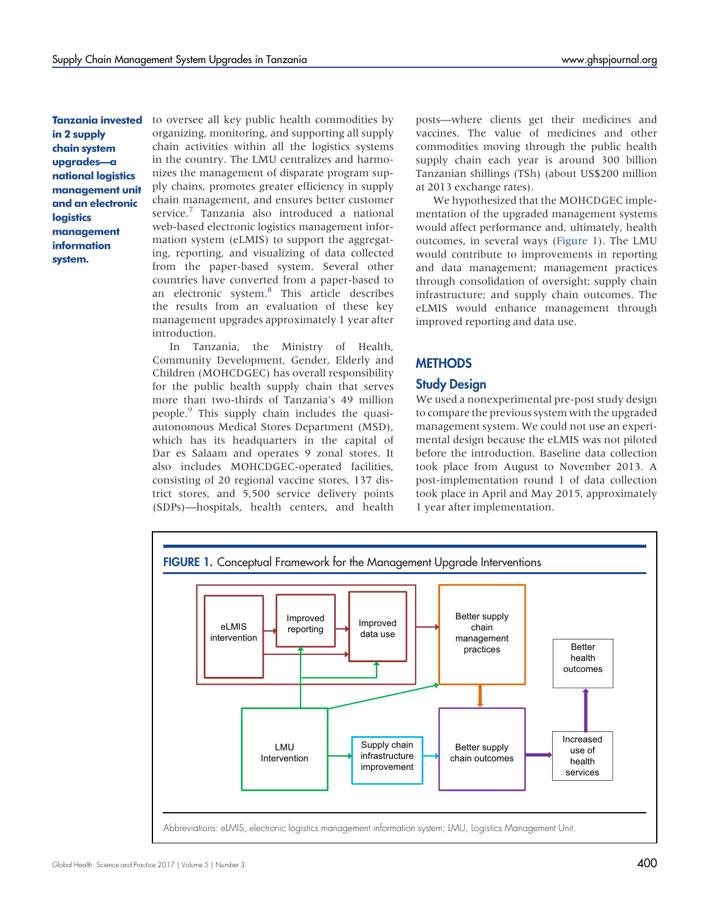Tanzania invested in 2 supply chain system upgrades—a national logistics management unit and an electronic **logistics** management information system.

to oversee all key public health commodities by organizing, monitoring, and supporting all supply chain activities within all the logistics systems in the country. The LMU centralizes and harmonizes the management of disparate program supply chains, promotes greater efficiency in supply chain management, and ensures better customer service.<sup>[7](#page-11-6)</sup> Tanzania also introduced a national web-based electronic logistics management information system (eLMIS) to support the aggregating, reporting, and visualizing of data collected from the paper-based system. Several other countries have converted from a paper-based to an electronic system.[8](#page-12-0) This article describes the results from an evaluation of these key management upgrades approximately 1 year after introduction.

In Tanzania, the Ministry of Health, Community Development, Gender, Elderly and Children (MOHCDGEC) has overall responsibility for the public health supply chain that serves more than two-thirds of Tanzania's 49 million people.[9](#page-12-1) This supply chain includes the quasiautonomous Medical Stores Department (MSD), which has its headquarters in the capital of Dar es Salaam and operates 9 zonal stores. It also includes MOHCDGEC-operated facilities, consisting of 20 regional vaccine stores, 137 district stores, and 5,500 service delivery points (SDPs)—hospitals, health centers, and health

posts—where clients get their medicines and vaccines. The value of medicines and other commodities moving through the public health supply chain each year is around 300 billion Tanzanian shillings (TSh) (about US\$200 million at 2013 exchange rates).

We hypothesized that the MOHCDGEC implementation of the upgraded management systems would affect performance and, ultimately, health outcomes, in several ways (Figure 1). The LMU would contribute to improvements in reporting and data management; management practices through consolidation of oversight; supply chain infrastructure; and supply chain outcomes. The eLMIS would enhance management through improved reporting and data use.

# **METHODS**

# Study Design

We used a nonexperimental pre-post study design to compare the previous system with the upgraded management system. We could not use an experimental design because the eLMIS was not piloted before the introduction. Baseline data collection took place from August to November 2013. A post-implementation round 1 of data collection took place in April and May 2015, approximately 1 year after implementation.

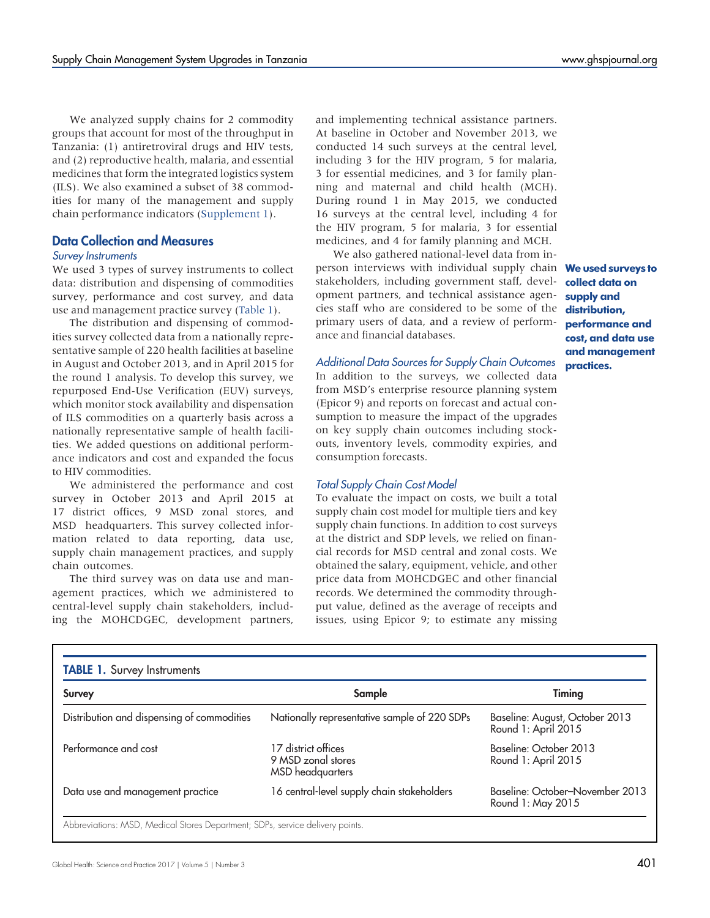We analyzed supply chains for 2 commodity groups that account for most of the throughput in Tanzania: (1) antiretroviral drugs and HIV tests, and (2) reproductive health, malaria, and essential medicines that form the integrated logistics system (ILS). We also examined a subset of 38 commodities for many of the management and supply chain performance indicators [\(Supplement 1\)](http://ghspjournal.org/lookup/suppl/doi:10.9745/GHSP-D-16-00395/-/DCSupplemental).

# Data Collection and Measures

#### Survey Instruments

We used 3 types of survey instruments to collect data: distribution and dispensing of commodities survey, performance and cost survey, and data use and management practice survey ([Table 1](#page-2-0)).

The distribution and dispensing of commodities survey collected data from a nationally representative sample of 220 health facilities at baseline in August and October 2013, and in April 2015 for the round 1 analysis. To develop this survey, we repurposed End-Use Verification (EUV) surveys, which monitor stock availability and dispensation of ILS commodities on a quarterly basis across a nationally representative sample of health facilities. We added questions on additional performance indicators and cost and expanded the focus to HIV commodities.

We administered the performance and cost survey in October 2013 and April 2015 at 17 district offices, 9 MSD zonal stores, and MSD headquarters. This survey collected information related to data reporting, data use, supply chain management practices, and supply chain outcomes.

The third survey was on data use and management practices, which we administered to central-level supply chain stakeholders, including the MOHCDGEC, development partners,

and implementing technical assistance partners. At baseline in October and November 2013, we conducted 14 such surveys at the central level, including 3 for the HIV program, 5 for malaria, 3 for essential medicines, and 3 for family planning and maternal and child health (MCH). During round 1 in May 2015, we conducted 16 surveys at the central level, including 4 for the HIV program, 5 for malaria, 3 for essential medicines, and 4 for family planning and MCH.

We also gathered national-level data from inperson interviews with individual supply chain Weused surveys to stakeholders, including government staff, development partners, and technical assistance agencies staff who are considered to be some of the primary users of data, and a review of performance and financial databases.

# Additional Data Sources for Supply Chain Outcomes

In addition to the surveys, we collected data from MSD's enterprise resource planning system (Epicor 9) and reports on forecast and actual consumption to measure the impact of the upgrades on key supply chain outcomes including stockouts, inventory levels, commodity expiries, and consumption forecasts.

## Total Supply Chain Cost Model

To evaluate the impact on costs, we built a total supply chain cost model for multiple tiers and key supply chain functions. In addition to cost surveys at the district and SDP levels, we relied on financial records for MSD central and zonal costs. We obtained the salary, equipment, vehicle, and other price data from MOHCDGEC and other financial records. We determined the commodity throughput value, defined as the average of receipts and issues, using Epicor 9; to estimate any missing

collect data on supply and distribution, performance and cost, and data use and management practices.

<span id="page-2-0"></span>

| <b>Survey</b>                              | Sample                                                               | Timing                                                |
|--------------------------------------------|----------------------------------------------------------------------|-------------------------------------------------------|
| Distribution and dispensing of commodities | Nationally representative sample of 220 SDPs                         | Baseline: August, October 2013<br>Round 1: April 2015 |
| Performance and cost                       | 17 district offices<br>9 MSD zonal stores<br><b>MSD</b> headquarters | Baseline: October 2013<br>Round 1: April 2015         |
| Data use and management practice           | 16 central-level supply chain stakeholders                           | Baseline: October-November 2013<br>Round 1: May 2015  |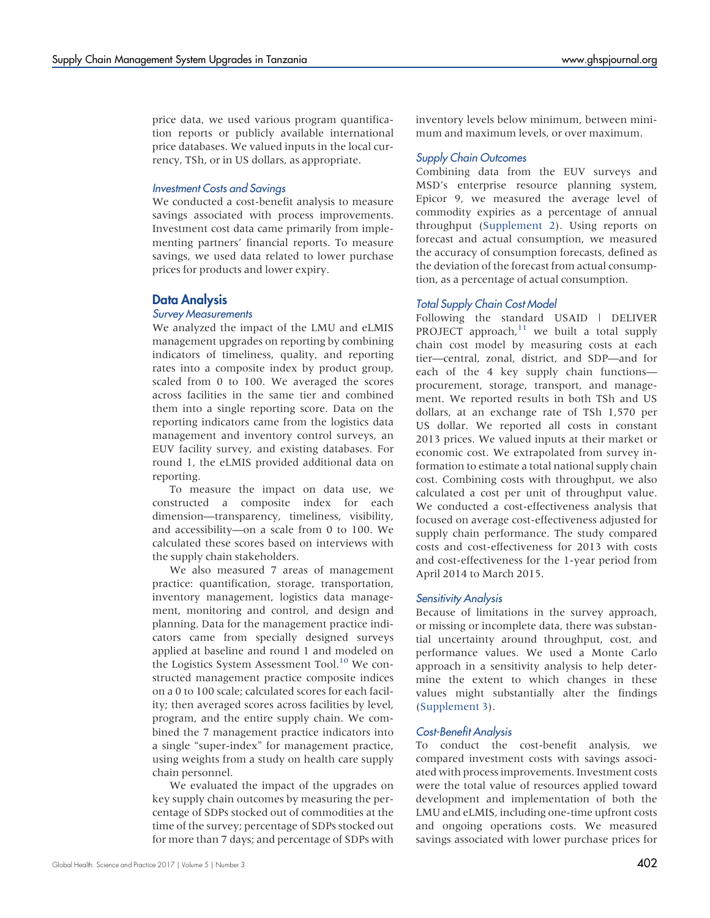price data, we used various program quantification reports or publicly available international price databases. We valued inputs in the local currency, TSh, or in US dollars, as appropriate.

# Investment Costs and Savings

We conducted a cost-benefit analysis to measure savings associated with process improvements. Investment cost data came primarily from implementing partners' financial reports. To measure savings, we used data related to lower purchase prices for products and lower expiry.

# Data Analysis

# Survey Measurements

We analyzed the impact of the LMU and eLMIS management upgrades on reporting by combining indicators of timeliness, quality, and reporting rates into a composite index by product group, scaled from 0 to 100. We averaged the scores across facilities in the same tier and combined them into a single reporting score. Data on the reporting indicators came from the logistics data management and inventory control surveys, an EUV facility survey, and existing databases. For round 1, the eLMIS provided additional data on reporting.

To measure the impact on data use, we constructed a composite index for each dimension—transparency, timeliness, visibility, and accessibility—on a scale from 0 to 100. We calculated these scores based on interviews with the supply chain stakeholders.

We also measured 7 areas of management practice: quantification, storage, transportation, inventory management, logistics data management, monitoring and control, and design and planning. Data for the management practice indicators came from specially designed surveys applied at baseline and round 1 and modeled on the Logistics System Assessment Tool.<sup>[10](#page-12-2)</sup> We constructed management practice composite indices on a 0 to 100 scale; calculated scores for each facility; then averaged scores across facilities by level, program, and the entire supply chain. We combined the 7 management practice indicators into a single "super-index" for management practice, using weights from a study on health care supply chain personnel.

We evaluated the impact of the upgrades on key supply chain outcomes by measuring the percentage of SDPs stocked out of commodities at the time of the survey; percentage of SDPs stocked out for more than 7 days; and percentage of SDPs with

inventory levels below minimum, between minimum and maximum levels, or over maximum.

## Supply Chain Outcomes

Combining data from the EUV surveys and MSD's enterprise resource planning system, Epicor 9, we measured the average level of commodity expiries as a percentage of annual throughput ([Supplement 2\)](http://ghspjournal.org/lookup/suppl/doi:10.9745/GHSP-D-16-00395/-/DCSupplemental). Using reports on forecast and actual consumption, we measured the accuracy of consumption forecasts, defined as the deviation of the forecast from actual consumption, as a percentage of actual consumption.

## Total Supply Chain Cost Model

Following the standard USAID | DELIVER PROJECT approach, $11$  we built a total supply chain cost model by measuring costs at each tier—central, zonal, district, and SDP—and for each of the 4 key supply chain functions procurement, storage, transport, and management. We reported results in both TSh and US dollars, at an exchange rate of TSh 1,570 per US dollar. We reported all costs in constant 2013 prices. We valued inputs at their market or economic cost. We extrapolated from survey information to estimate a total national supply chain cost. Combining costs with throughput, we also calculated a cost per unit of throughput value. We conducted a cost-effectiveness analysis that focused on average cost-effectiveness adjusted for supply chain performance. The study compared costs and cost-effectiveness for 2013 with costs and cost-effectiveness for the 1-year period from April 2014 to March 2015.

## Sensitivity Analysis

Because of limitations in the survey approach, or missing or incomplete data, there was substantial uncertainty around throughput, cost, and performance values. We used a Monte Carlo approach in a sensitivity analysis to help determine the extent to which changes in these values might substantially alter the findings [\(Supplement 3](http://ghspjournal.org/lookup/suppl/doi:10.9745/GHSP-D-16-00395/-/DCSupplemental)).

## Cost-Benefit Analysis

To conduct the cost-benefit analysis, we compared investment costs with savings associated with process improvements. Investment costs were the total value of resources applied toward development and implementation of both the LMU and eLMIS, including one-time upfront costs and ongoing operations costs. We measured savings associated with lower purchase prices for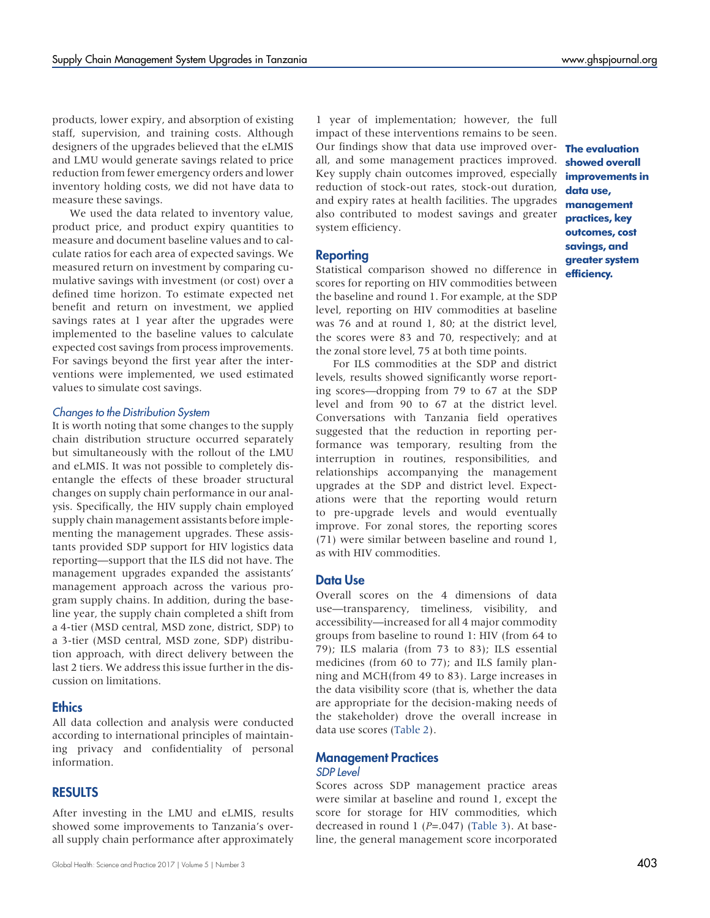products, lower expiry, and absorption of existing staff, supervision, and training costs. Although designers of the upgrades believed that the eLMIS and LMU would generate savings related to price reduction from fewer emergency orders and lower inventory holding costs, we did not have data to measure these savings.

We used the data related to inventory value, product price, and product expiry quantities to measure and document baseline values and to calculate ratios for each area of expected savings. We measured return on investment by comparing cumulative savings with investment (or cost) over a defined time horizon. To estimate expected net benefit and return on investment, we applied savings rates at 1 year after the upgrades were implemented to the baseline values to calculate expected cost savings from process improvements. For savings beyond the first year after the interventions were implemented, we used estimated values to simulate cost savings.

#### Changes to the Distribution System

It is worth noting that some changes to the supply chain distribution structure occurred separately but simultaneously with the rollout of the LMU and eLMIS. It was not possible to completely disentangle the effects of these broader structural changes on supply chain performance in our analysis. Specifically, the HIV supply chain employed supply chain management assistants before implementing the management upgrades. These assistants provided SDP support for HIV logistics data reporting—support that the ILS did not have. The management upgrades expanded the assistants' management approach across the various program supply chains. In addition, during the baseline year, the supply chain completed a shift from a 4-tier (MSD central, MSD zone, district, SDP) to a 3-tier (MSD central, MSD zone, SDP) distribution approach, with direct delivery between the last 2 tiers. We address this issue further in the discussion on limitations.

## **Ethics**

All data collection and analysis were conducted according to international principles of maintaining privacy and confidentiality of personal information.

## RESULTS

After investing in the LMU and eLMIS, results showed some improvements to Tanzania's overall supply chain performance after approximately

1 year of implementation; however, the full impact of these interventions remains to be seen. Our findings show that data use improved over- **The evaluation** all, and some management practices improved. Key supply chain outcomes improved, especially **improvements in** reduction of stock-out rates, stock-out duration, and expiry rates at health facilities. The upgrades also contributed to modest savings and greater system efficiency.

## Reporting

Statistical comparison showed no difference in scores for reporting on HIV commodities between the baseline and round 1. For example, at the SDP level, reporting on HIV commodities at baseline was 76 and at round 1, 80; at the district level, the scores were 83 and 70, respectively; and at the zonal store level, 75 at both time points.

For ILS commodities at the SDP and district levels, results showed significantly worse reporting scores—dropping from 79 to 67 at the SDP level and from 90 to 67 at the district level. Conversations with Tanzania field operatives suggested that the reduction in reporting performance was temporary, resulting from the interruption in routines, responsibilities, and relationships accompanying the management upgrades at the SDP and district level. Expectations were that the reporting would return to pre-upgrade levels and would eventually improve. For zonal stores, the reporting scores (71) were similar between baseline and round 1, as with HIV commodities.

## Data Use

Overall scores on the 4 dimensions of data use—transparency, timeliness, visibility, and accessibility—increased for all 4 major commodity groups from baseline to round 1: HIV (from 64 to 79); ILS malaria (from 73 to 83); ILS essential medicines (from 60 to 77); and ILS family planning and MCH(from 49 to 83). Large increases in the data visibility score (that is, whether the data are appropriate for the decision-making needs of the stakeholder) drove the overall increase in data use scores [\(Table 2](#page-5-0)).

### Management Practices SDP Level

Scores across SDP management practice areas were similar at baseline and round 1, except the score for storage for HIV commodities, which decreased in round 1 ( $P=.047$ ) ([Table 3](#page-6-0)). At baseline, the general management score incorporated

showed overall data use, management practices, key outcomes, cost savings, and greater system efficiency.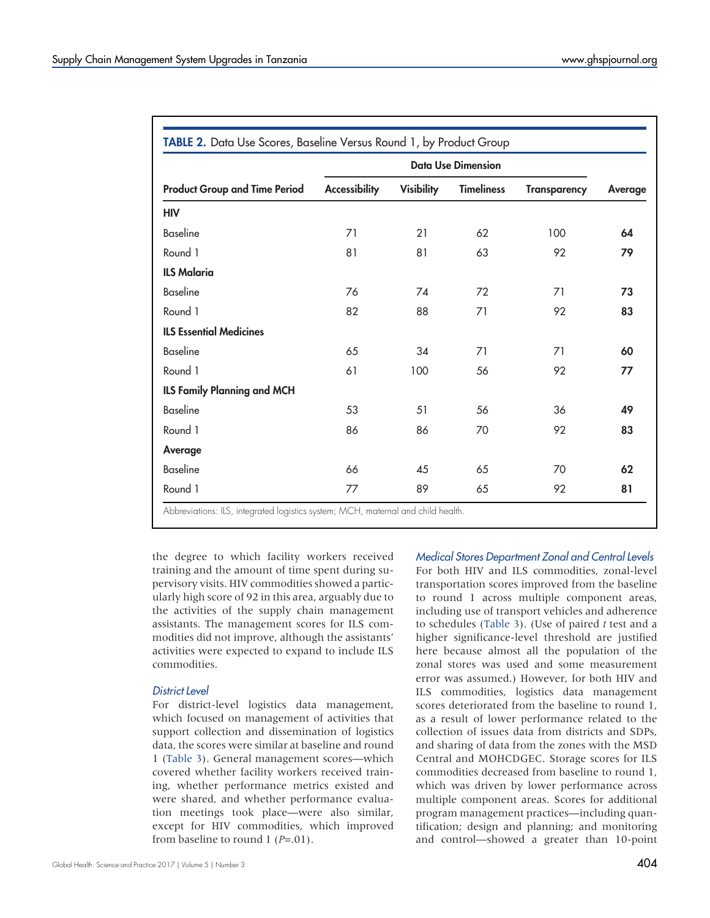<span id="page-5-0"></span>

|                                      | <b>Data Use Dimension</b> |                   |                   |                     |         |  |
|--------------------------------------|---------------------------|-------------------|-------------------|---------------------|---------|--|
| <b>Product Group and Time Period</b> | <b>Accessibility</b>      | <b>Visibility</b> | <b>Timeliness</b> | <b>Transparency</b> | Average |  |
| <b>HIV</b>                           |                           |                   |                   |                     |         |  |
| <b>Baseline</b>                      | 71                        | 21                | 62                | 100                 | 64      |  |
| Round 1                              | 81                        | 81                | 63                | 92                  | 79      |  |
| <b>ILS Malaria</b>                   |                           |                   |                   |                     |         |  |
| <b>Baseline</b>                      | 76                        | 74                | 72                | 71                  | 73      |  |
| Round 1                              | 82                        | 88                | 71                | 92                  | 83      |  |
| <b>ILS Essential Medicines</b>       |                           |                   |                   |                     |         |  |
| <b>Baseline</b>                      | 65                        | 34                | 71                | 71                  | 60      |  |
| Round 1                              | 61                        | 100               | 56                | 92                  | 77      |  |
| <b>ILS Family Planning and MCH</b>   |                           |                   |                   |                     |         |  |
| <b>Baseline</b>                      | 53                        | 51                | 56                | 36                  | 49      |  |
| Round 1                              | 86                        | 86                | 70                | 92                  | 83      |  |
| Average                              |                           |                   |                   |                     |         |  |
| <b>Baseline</b>                      | 66                        | 45                | 65                | 70                  | 62      |  |
| Round 1                              | 77                        | 89                | 65                | 92                  | 81      |  |

Abbreviations: ILS, integrated logistics system; MCH, maternal and child health.

the degree to which facility workers received training and the amount of time spent during supervisory visits. HIV commodities showed a particularly high score of 92 in this area, arguably due to the activities of the supply chain management assistants. The management scores for ILS commodities did not improve, although the assistants' activities were expected to expand to include ILS commodities.

## District Level

For district-level logistics data management, which focused on management of activities that support collection and dissemination of logistics data, the scores were similar at baseline and round 1 [\(Table 3](#page-6-0)). General management scores—which covered whether facility workers received training, whether performance metrics existed and were shared, and whether performance evaluation meetings took place—were also similar, except for HIV commodities, which improved from baseline to round 1 ( $P = .01$ ).

Medical Stores Department Zonal and Central Levels For both HIV and ILS commodities, zonal-level transportation scores improved from the baseline to round 1 across multiple component areas, including use of transport vehicles and adherence to schedules [\(Table 3](#page-6-0)). (Use of paired  $t$  test and a higher significance-level threshold are justified here because almost all the population of the zonal stores was used and some measurement error was assumed.) However, for both HIV and ILS commodities, logistics data management scores deteriorated from the baseline to round 1, as a result of lower performance related to the collection of issues data from districts and SDPs, and sharing of data from the zones with the MSD Central and MOHCDGEC. Storage scores for ILS commodities decreased from baseline to round 1, which was driven by lower performance across multiple component areas. Scores for additional program management practices—including quantification; design and planning; and monitoring and control—showed a greater than 10-point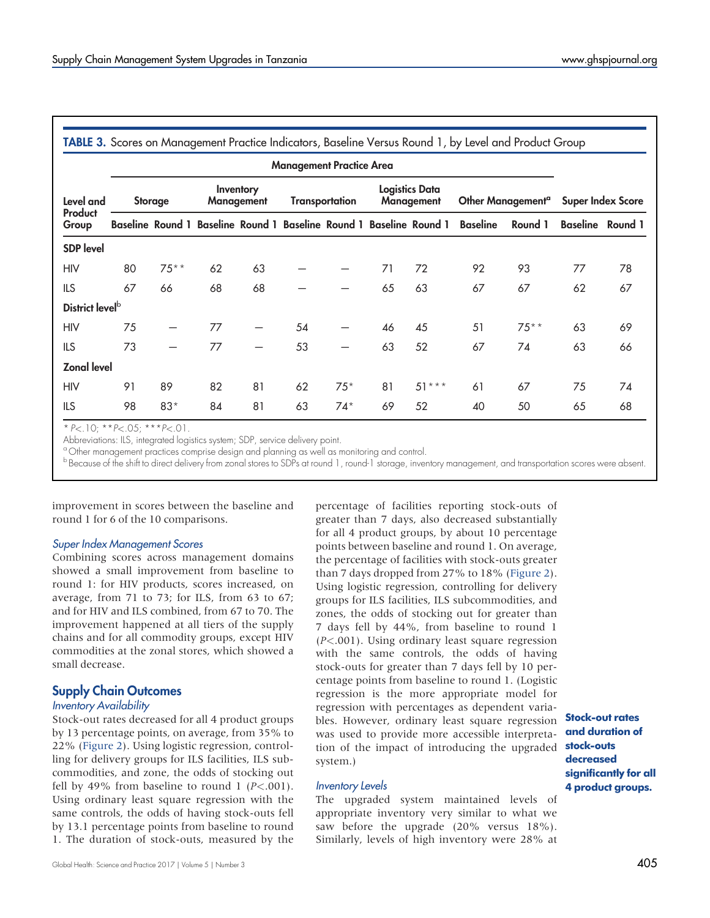<span id="page-6-0"></span>

|                             | <b>TABLE 3.</b> Scores on Management Practice Indicators, Baseline Versus Round 1, by Level and Product Group |         |    |                 |                       |       |                                     |                                                                     |                               |         |                          |                         |
|-----------------------------|---------------------------------------------------------------------------------------------------------------|---------|----|-----------------|-----------------------|-------|-------------------------------------|---------------------------------------------------------------------|-------------------------------|---------|--------------------------|-------------------------|
|                             | <b>Management Practice Area</b>                                                                               |         |    |                 |                       |       |                                     |                                                                     |                               |         |                          |                         |
| Level and                   | Inventory<br><b>Management</b><br><b>Storage</b>                                                              |         |    |                 | <b>Transportation</b> |       | <b>Logistics Data</b><br>Management |                                                                     | Other Management <sup>a</sup> |         | <b>Super Index Score</b> |                         |
| Product<br>Group            |                                                                                                               |         |    |                 |                       |       |                                     | Baseline Round 1 Baseline Round 1 Baseline Round 1 Baseline Round 1 | <b>Baseline</b>               | Round 1 |                          | <b>Baseline</b> Round 1 |
| <b>SDP</b> level            |                                                                                                               |         |    |                 |                       |       |                                     |                                                                     |                               |         |                          |                         |
| <b>HIV</b>                  | 80                                                                                                            | $75***$ | 62 | 63              |                       |       | 71                                  | 72                                                                  | 92                            | 93      | 77                       | 78                      |
| <b>ILS</b>                  | 67                                                                                                            | 66      | 68 | 68              |                       |       | 65                                  | 63                                                                  | 67                            | 67      | 62                       | 67                      |
| District level <sup>b</sup> |                                                                                                               |         |    |                 |                       |       |                                     |                                                                     |                               |         |                          |                         |
| <b>HIV</b>                  | 75                                                                                                            |         | 77 | $\qquad \qquad$ | 54                    |       | 46                                  | 45                                                                  | 51                            | $75***$ | 63                       | 69                      |
| <b>ILS</b>                  | 73                                                                                                            | —       | 77 |                 | 53                    |       | 63                                  | 52                                                                  | 67                            | 74      | 63                       | 66                      |
| <b>Zonal level</b>          |                                                                                                               |         |    |                 |                       |       |                                     |                                                                     |                               |         |                          |                         |
| <b>HIV</b>                  | 91                                                                                                            | 89      | 82 | 81              | 62                    | $75*$ | 81                                  | $51***$                                                             | 61                            | 67      | 75                       | 74                      |
| ILS.                        | 98                                                                                                            | $83*$   | 84 | 81              | 63                    | $74*$ | 69                                  | 52                                                                  | 40                            | 50      | 65                       | 68                      |

 $* P < .10; ** P < .05; ** P < .01$ 

Abbreviations: ILS, integrated logistics system; SDP, service delivery point.

<sup>a</sup> Other management practices comprise design and planning as well as monitoring and control.

b Because of the shift to direct delivery from zonal stores to SDPs at round 1, round-1 storage, inventory management, and transportation scores were absent.

improvement in scores between the baseline and round 1 for 6 of the 10 comparisons.

#### Super Index Management Scores

Combining scores across management domains showed a small improvement from baseline to round 1: for HIV products, scores increased, on average, from 71 to 73; for ILS, from 63 to 67; and for HIV and ILS combined, from 67 to 70. The improvement happened at all tiers of the supply chains and for all commodity groups, except HIV commodities at the zonal stores, which showed a small decrease.

# Supply Chain Outcomes

#### Inventory Availability

Stock-out rates decreased for all 4 product groups by 13 percentage points, on average, from 35% to 22% [\(Figure 2\)](#page-7-0). Using logistic regression, controlling for delivery groups for ILS facilities, ILS subcommodities, and zone, the odds of stocking out fell by 49% from baseline to round 1  $(P<.001)$ . Using ordinary least square regression with the same controls, the odds of having stock-outs fell by 13.1 percentage points from baseline to round 1. The duration of stock-outs, measured by the greater than 7 days, also decreased substantially for all 4 product groups, by about 10 percentage points between baseline and round 1. On average, the percentage of facilities with stock-outs greater than 7 days dropped from 27% to 18% [\(Figure 2](#page-7-0)). Using logistic regression, controlling for delivery groups for ILS facilities, ILS subcommodities, and zones, the odds of stocking out for greater than 7 days fell by 44%, from baseline to round 1 (P<.001). Using ordinary least square regression with the same controls, the odds of having stock-outs for greater than 7 days fell by 10 percentage points from baseline to round 1. (Logistic regression is the more appropriate model for regression with percentages as dependent variables. However, ordinary least square regression was used to provide more accessible interpretation of the impact of introducing the upgraded system.)

percentage of facilities reporting stock-outs of

#### Inventory Levels

The upgraded system maintained levels of appropriate inventory very similar to what we saw before the upgrade (20% versus 18%). Similarly, levels of high inventory were 28% at

Stock-out rates and duration of stock-outs decreased significantly for all 4 product groups.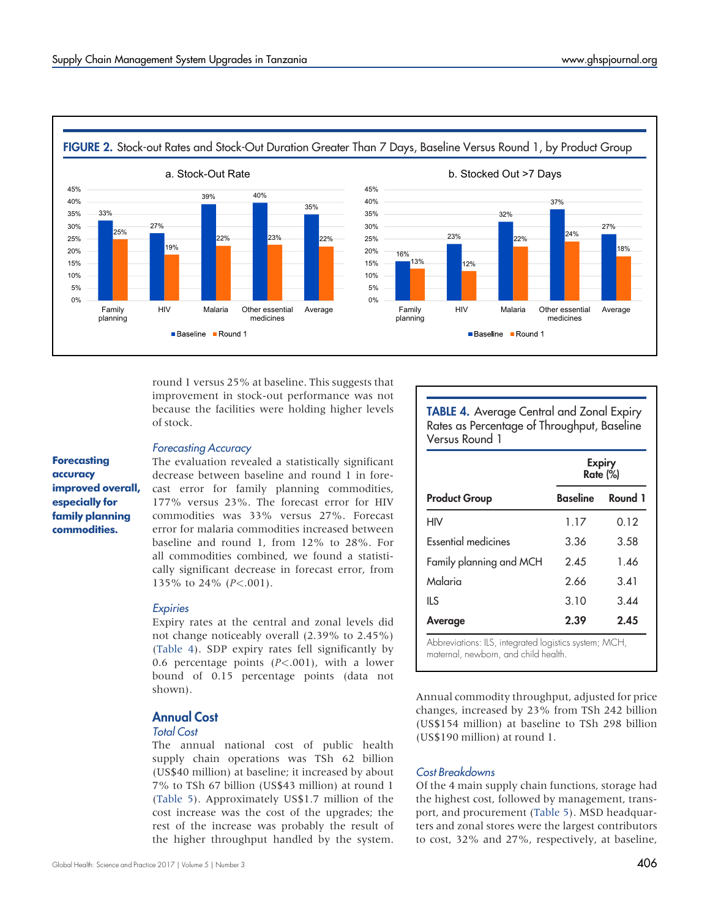<span id="page-7-0"></span>

round 1 versus 25% at baseline. This suggests that improvement in stock-out performance was not because the facilities were holding higher levels of stock.

### Forecasting Accuracy

The evaluation revealed a statistically significant decrease between baseline and round 1 in forecast error for family planning commodities, 177% versus 23%. The forecast error for HIV commodities was 33% versus 27%. Forecast error for malaria commodities increased between baseline and round 1, from 12% to 28%. For all commodities combined, we found a statistically significant decrease in forecast error, from 135% to 24%  $(P<.001)$ .

#### **Expiries**

Expiry rates at the central and zonal levels did not change noticeably overall (2.39% to 2.45%) [\(Table 4](#page-7-1)). SDP expiry rates fell significantly by 0.6 percentage points  $(P<.001)$ , with a lower bound of 0.15 percentage points (data not shown).

# Annual Cost

#### Total Cost

The annual national cost of public health supply chain operations was TSh 62 billion (US\$40 million) at baseline; it increased by about 7% to TSh 67 billion (US\$43 million) at round 1 [\(Table 5\)](#page-8-0). Approximately US\$1.7 million of the cost increase was the cost of the upgrades; the rest of the increase was probably the result of the higher throughput handled by the system. <span id="page-7-1"></span>TABLE 4. Average Central and Zonal Expiry Rates as Percentage of Throughput, Baseline Versus Round 1

| <b>Expiry</b><br><b>Rate (%)</b> |         |  |  |
|----------------------------------|---------|--|--|
| <b>Baseline</b>                  | Round 1 |  |  |
| 1.17                             | 0.12    |  |  |
| 3.36                             | 3.58    |  |  |
| 2.45                             | 1.46    |  |  |
| 2.66                             | 3.41    |  |  |
| 3.10                             | 3.44    |  |  |
| 2.39<br>2.45                     |         |  |  |
|                                  |         |  |  |

Abbreviations: ILS, integrated logistics system; MCH, maternal, newborn, and child health.

Annual commodity throughput, adjusted for price changes, increased by 23% from TSh 242 billion (US\$154 million) at baseline to TSh 298 billion (US\$190 million) at round 1.

## Cost Breakdowns

Of the 4 main supply chain functions, storage had the highest cost, followed by management, transport, and procurement ([Table 5\)](#page-8-0). MSD headquarters and zonal stores were the largest contributors to cost, 32% and 27%, respectively, at baseline,

## **Forecasting** accuracy improved overall, especially for family planning commodities.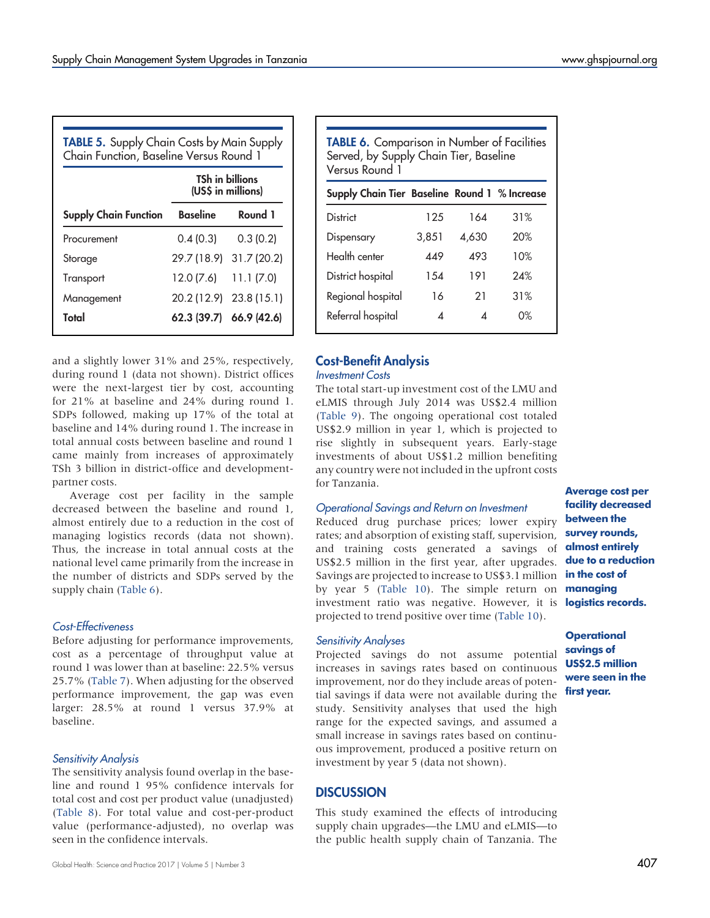<span id="page-8-0"></span>

| <b>TSh in billions</b><br>(US\$ in millions) |                 |                         |  |  |  |  |
|----------------------------------------------|-----------------|-------------------------|--|--|--|--|
| <b>Supply Chain Function</b>                 | <b>Baseline</b> | Round 1                 |  |  |  |  |
| Procurement                                  | 0.4(0.3)        | 0.3(0.2)                |  |  |  |  |
| Storage                                      |                 | 29.7 (18.9) 31.7 (20.2) |  |  |  |  |
| Transport                                    | 12.0 (7.6)      | 11.1(7.0)               |  |  |  |  |
| Management                                   |                 | 20.2 (12.9) 23.8 (15.1) |  |  |  |  |
| Total                                        |                 | 62.3 (39.7) 66.9 (42.6) |  |  |  |  |

<span id="page-8-1"></span>

| TABLE 6. Comparison in Number of Facilities<br>Served, by Supply Chain Tier, Baseline<br>Versus Round 1 |            |       |     |  |  |  |  |  |  |
|---------------------------------------------------------------------------------------------------------|------------|-------|-----|--|--|--|--|--|--|
| Supply Chain Tier Baseline Round 1 % Increase                                                           |            |       |     |  |  |  |  |  |  |
| District                                                                                                | 125        | 164   | 31% |  |  |  |  |  |  |
| Dispensary                                                                                              | 3,851      | 4,630 | 20% |  |  |  |  |  |  |
| Health center                                                                                           | <b>449</b> | 493   | 10% |  |  |  |  |  |  |
| District hospital                                                                                       | 1.54       | 191   | 24% |  |  |  |  |  |  |
| Regional hospital                                                                                       | 16         | 21    | 31% |  |  |  |  |  |  |
| Referral hospital                                                                                       | 4          | ◢     | 0%  |  |  |  |  |  |  |

## Cost-Benefit Analysis Investment Costs

The total start-up investment cost of the LMU and eLMIS through July 2014 was US\$2.4 million [\(Table 9](#page-10-0)). The ongoing operational cost totaled US\$2.9 million in year 1, which is projected to rise slightly in subsequent years. Early-stage investments of about US\$1.2 million benefiting any country were not included in the upfront costs for Tanzania.

# Operational Savings and Return on Investment

Reduced drug purchase prices; lower expiry rates; and absorption of existing staff, supervision, and training costs generated a savings of US\$2.5 million in the first year, after upgrades. Savings are projected to increase to US\$3.1 million by year 5 ([Table 10\)](#page-11-7). The simple return on **managing** investment ratio was negative. However, it is logistics records. projected to trend positive over time ([Table 10\)](#page-11-7).

# Sensitivity Analyses

Projected savings do not assume potential increases in savings rates based on continuous improvement, nor do they include areas of potential savings if data were not available during the study. Sensitivity analyses that used the high range for the expected savings, and assumed a small increase in savings rates based on continuous improvement, produced a positive return on investment by year 5 (data not shown).

# **DISCUSSION**

This study examined the effects of introducing supply chain upgrades—the LMU and eLMIS—to the public health supply chain of Tanzania. The

Average cost per facility decreased between the survey rounds, almost entirely due to a reduction in the cost of

**Operational** savings of US\$2.5 million were seen in the first year.

during round 1 (data not shown). District offices were the next-largest tier by cost, accounting for 21% at baseline and 24% during round 1. SDPs followed, making up 17% of the total at baseline and 14% during round 1. The increase in total annual costs between baseline and round 1 came mainly from increases of approximately TSh 3 billion in district-office and developmentpartner costs.

and a slightly lower 31% and 25%, respectively,

Average cost per facility in the sample decreased between the baseline and round 1, almost entirely due to a reduction in the cost of managing logistics records (data not shown). Thus, the increase in total annual costs at the national level came primarily from the increase in the number of districts and SDPs served by the supply chain [\(Table 6](#page-8-1)).

# Cost-Effectiveness

Before adjusting for performance improvements, cost as a percentage of throughput value at round 1 was lower than at baseline: 22.5% versus 25.7% ([Table 7\)](#page-9-0). When adjusting for the observed performance improvement, the gap was even larger: 28.5% at round 1 versus 37.9% at baseline.

# Sensitivity Analysis

The sensitivity analysis found overlap in the baseline and round 1 95% confidence intervals for total cost and cost per product value (unadjusted) ([Table 8](#page-9-1)). For total value and cost-per-product value (performance-adjusted), no overlap was seen in the confidence intervals.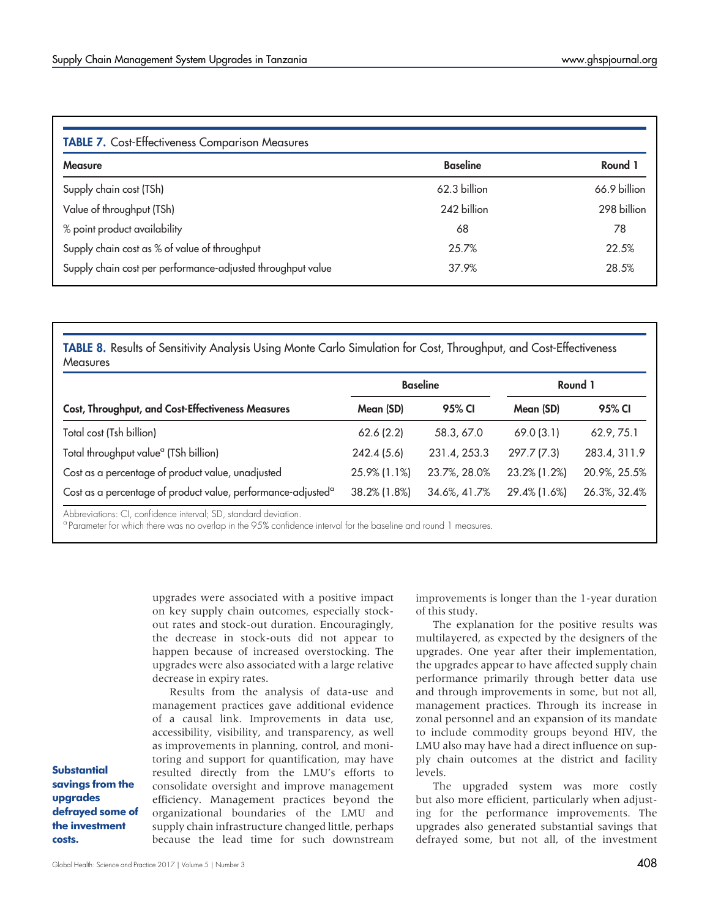<span id="page-9-0"></span>

| <b>TABLE 7.</b> Cost-Effectiveness Comparison Measures      |                 |              |  |  |  |  |  |
|-------------------------------------------------------------|-----------------|--------------|--|--|--|--|--|
| <b>Measure</b>                                              | <b>Baseline</b> | Round 1      |  |  |  |  |  |
| Supply chain cost (TSh)                                     | 62.3 billion    | 66.9 billion |  |  |  |  |  |
| Value of throughput (TSh)                                   | 242 billion     | 298 billion  |  |  |  |  |  |
| % point product availability                                | 68              | 78           |  |  |  |  |  |
| Supply chain cost as % of value of throughput               | 25.7%           | 22.5%        |  |  |  |  |  |
| Supply chain cost per performance-adjusted throughput value | 37.9%           | 28.5%        |  |  |  |  |  |

<span id="page-9-1"></span>TABLE 8. Results of Sensitivity Analysis Using Monte Carlo Simulation for Cost, Throughput, and Cost-Effectiveness **Measures** 

|                                                                          | <b>Baseline</b> |              |              | Round 1      |  |  |
|--------------------------------------------------------------------------|-----------------|--------------|--------------|--------------|--|--|
| Cost, Throughput, and Cost-Effectiveness Measures                        | Mean (SD)       | 95% CI       | Mean (SD)    | 95% CI       |  |  |
| Total cost (Tsh billion)                                                 | 62.6(2.2)       | 58.3, 67.0   | 69.0(3.1)    | 62.9, 75.1   |  |  |
| Total throughput value <sup>a</sup> (TSh billion)                        | 242.4(5.6)      | 231.4, 253.3 | 297.7 (7.3)  | 283.4, 311.9 |  |  |
| Cost as a percentage of product value, unadjusted                        | 25.9% (1.1%)    | 23.7%, 28.0% | 23.2% (1.2%) | 20.9%, 25.5% |  |  |
| Cost as a percentage of product value, performance-adjusted <sup>a</sup> | 38.2% (1.8%)    | 34.6%, 41.7% | 29.4% (1.6%) | 26.3%, 32.4% |  |  |

Abbreviations: CI, confidence interval; SD, standard deviation.

<sup>a</sup> Parameter for which there was no overlap in the 95% confidence interval for the baseline and round 1 measures.

upgrades were associated with a positive impact on key supply chain outcomes, especially stockout rates and stock-out duration. Encouragingly, the decrease in stock-outs did not appear to happen because of increased overstocking. The upgrades were also associated with a large relative decrease in expiry rates.

Results from the analysis of data-use and management practices gave additional evidence of a causal link. Improvements in data use, accessibility, visibility, and transparency, as well as improvements in planning, control, and monitoring and support for quantification, may have resulted directly from the LMU's efforts to consolidate oversight and improve management efficiency. Management practices beyond the organizational boundaries of the LMU and supply chain infrastructure changed little, perhaps because the lead time for such downstream

improvements is longer than the 1-year duration of this study.

The explanation for the positive results was multilayered, as expected by the designers of the upgrades. One year after their implementation, the upgrades appear to have affected supply chain performance primarily through better data use and through improvements in some, but not all, management practices. Through its increase in zonal personnel and an expansion of its mandate to include commodity groups beyond HIV, the LMU also may have had a direct influence on supply chain outcomes at the district and facility levels.

The upgraded system was more costly but also more efficient, particularly when adjusting for the performance improvements. The upgrades also generated substantial savings that defrayed some, but not all, of the investment

**Substantial** savings from the upgrades defrayed some of the investment costs.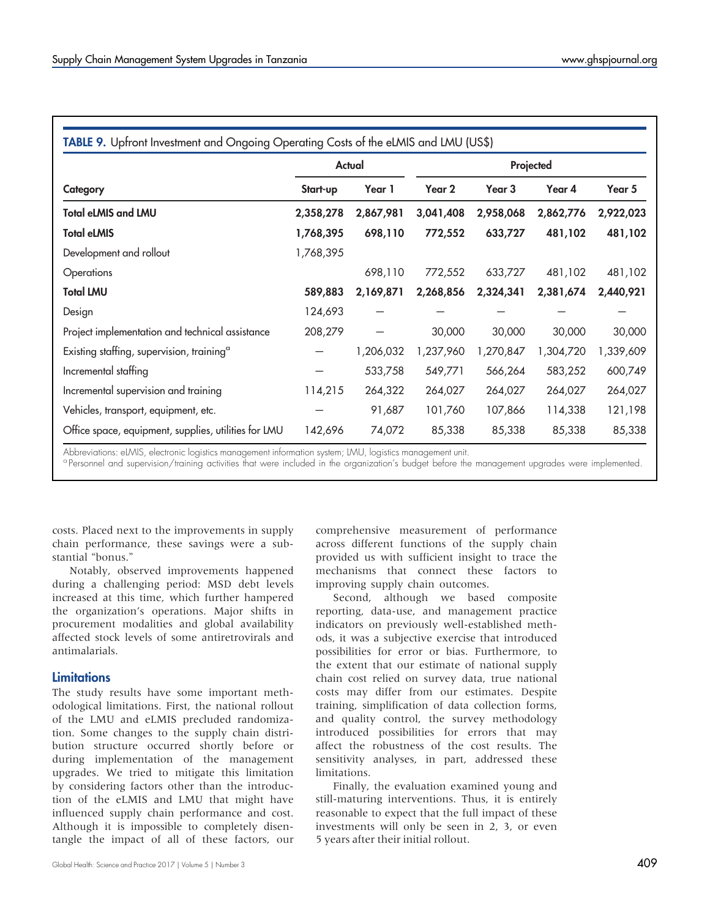<span id="page-10-0"></span>

|                                                       |           | <b>Actual</b> | Projected |                   |           |           |  |
|-------------------------------------------------------|-----------|---------------|-----------|-------------------|-----------|-----------|--|
| Category                                              | Start-up  | Year 1        | Year 2    | Year <sub>3</sub> | Year 4    | Year 5    |  |
| <b>Total eLMIS and LMU</b>                            | 2,358,278 | 2,867,981     | 3,041,408 | 2,958,068         | 2,862,776 | 2,922,023 |  |
| <b>Total eLMIS</b>                                    | 1,768,395 | 698,110       | 772,552   | 633,727           | 481,102   | 481,102   |  |
| Development and rollout                               | 1,768,395 |               |           |                   |           |           |  |
| Operations                                            |           | 698,110       | 772,552   | 633,727           | 481,102   | 481,102   |  |
| <b>Total LMU</b>                                      | 589,883   | 2,169,871     | 2,268,856 | 2,324,341         | 2,381,674 | 2,440,921 |  |
| Design                                                | 124,693   | —             |           |                   |           |           |  |
| Project implementation and technical assistance       | 208,279   |               | 30,000    | 30,000            | 30,000    | 30,000    |  |
| Existing staffing, supervision, training <sup>a</sup> |           | 1,206,032     | 1,237,960 | 1,270,847         | 1,304,720 | 1,339,609 |  |
| Incremental staffing                                  |           | 533,758       | 549,771   | 566,264           | 583,252   | 600,749   |  |
| Incremental supervision and training                  | 114,215   | 264,322       | 264,027   | 264,027           | 264,027   | 264,027   |  |
| Vehicles, transport, equipment, etc.                  |           | 91,687        | 101,760   | 107,866           | 114,338   | 121,198   |  |
| Office space, equipment, supplies, utilities for LMU  | 142,696   | 74,072        | 85,338    | 85,338            | 85,338    | 85,338    |  |

Abbreviations: eLMIS, electronic logistics management information system; LMU, logistics management unit.

<sup>a</sup> Personnel and supervision/training activities that were included in the organization's budget before the management upgrades were implemented.

costs. Placed next to the improvements in supply chain performance, these savings were a substantial "bonus."

Notably, observed improvements happened during a challenging period: MSD debt levels increased at this time, which further hampered the organization's operations. Major shifts in procurement modalities and global availability affected stock levels of some antiretrovirals and antimalarials.

## **Limitations**

The study results have some important methodological limitations. First, the national rollout of the LMU and eLMIS precluded randomization. Some changes to the supply chain distribution structure occurred shortly before or during implementation of the management upgrades. We tried to mitigate this limitation by considering factors other than the introduction of the eLMIS and LMU that might have influenced supply chain performance and cost. Although it is impossible to completely disentangle the impact of all of these factors, our comprehensive measurement of performance across different functions of the supply chain provided us with sufficient insight to trace the mechanisms that connect these factors to improving supply chain outcomes.

Second, although we based composite reporting, data-use, and management practice indicators on previously well-established methods, it was a subjective exercise that introduced possibilities for error or bias. Furthermore, to the extent that our estimate of national supply chain cost relied on survey data, true national costs may differ from our estimates. Despite training, simplification of data collection forms, and quality control, the survey methodology introduced possibilities for errors that may affect the robustness of the cost results. The sensitivity analyses, in part, addressed these limitations.

Finally, the evaluation examined young and still-maturing interventions. Thus, it is entirely reasonable to expect that the full impact of these investments will only be seen in 2, 3, or even 5 years after their initial rollout.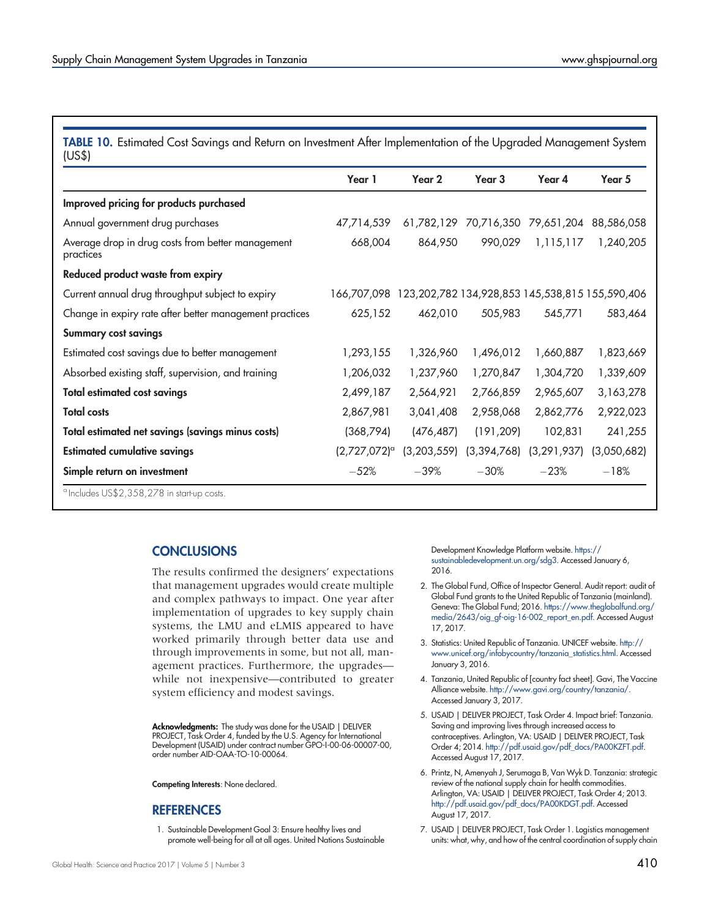<span id="page-11-7"></span>TABLE 10. Estimated Cost Savings and Return on Investment After Implementation of the Upgraded Management System (US\$)

|                                                                | Year 1                     | Year 2                                          | Year <sub>3</sub> | Year 4                           | Year 5      |
|----------------------------------------------------------------|----------------------------|-------------------------------------------------|-------------------|----------------------------------|-------------|
| Improved pricing for products purchased                        |                            |                                                 |                   |                                  |             |
| Annual government drug purchases                               | 47,714,539                 |                                                 |                   | 61,782,129 70,716,350 79,651,204 | 88,586,058  |
| Average drop in drug costs from better management<br>practices | 668,004                    | 864,950                                         | 990,029           | 1,115,117                        | 1,240,205   |
| Reduced product waste from expiry                              |                            |                                                 |                   |                                  |             |
| Current annual drug throughput subject to expiry               | 166,707,098                | 123,202,782 134,928,853 145,538,815 155,590,406 |                   |                                  |             |
| Change in expiry rate after better management practices        | 625,152                    | 462,010                                         | 505,983           | 545,771                          | 583,464     |
| <b>Summary cost savings</b>                                    |                            |                                                 |                   |                                  |             |
| Estimated cost savings due to better management                | 1,293,155                  | 1,326,960                                       | 1,496,012         | 1,660,887                        | 1,823,669   |
| Absorbed existing staff, supervision, and training             | 1,206,032                  | 1,237,960                                       | 1,270,847         | 1,304,720                        | 1,339,609   |
| <b>Total estimated cost savings</b>                            | 2,499,187                  | 2,564,921                                       | 2,766,859         | 2,965,607                        | 3,163,278   |
| <b>Total costs</b>                                             | 2,867,981                  | 3,041,408                                       | 2,958,068         | 2,862,776                        | 2,922,023   |
| Total estimated net savings (savings minus costs)              | (368, 794)                 | (476, 487)                                      | (191, 209)        | 102,831                          | 241,255     |
| <b>Estimated cumulative savings</b>                            | $(2,727,072)$ <sup>a</sup> | (3,203,559)                                     | (3,394,768)       | (3, 291, 937)                    | (3,050,682) |
| Simple return on investment                                    | $-52%$                     | $-39%$                                          | $-30%$            | $-23%$                           | $-18%$      |
| <sup>a</sup> Includes US\$2, 3.58, 278 in start-up costs       |                            |                                                 |                   |                                  |             |

<sup>a</sup> Includes US\$2,358,278 in start-up costs.

# **CONCLUSIONS**

The results confirmed the designers' expectations that management upgrades would create multiple and complex pathways to impact. One year after implementation of upgrades to key supply chain systems, the LMU and eLMIS appeared to have worked primarily through better data use and through improvements in some, but not all, management practices. Furthermore, the upgrades while not inexpensive—contributed to greater system efficiency and modest savings.

Acknowledgments: The study was done for the USAID | DELIVER PROJECT, Task Order 4, funded by the U.S. Agency for International Development (USAID) under contract number GPO-I-00-06-00007-00, order number AID-OAA-TO-10-00064.

Competing Interests: None declared.

## **REFERENCES**

<span id="page-11-0"></span>1. Sustainable Development Goal 3: Ensure healthy lives and promote well-being for all at all ages. United Nations Sustainable Development Knowledge Platform website. [https://](https://sustainabledevelopment.un.org/sdg3) [sustainabledevelopment.un.org/sdg3](https://sustainabledevelopment.un.org/sdg3). Accessed January 6, 2016.

- <span id="page-11-1"></span>2. The Global Fund, Office of Inspector General. Audit report: audit of Global Fund grants to the United Republic of Tanzania (mainland). Geneva: The Global Fund; 2016. [https://www.theglobalfund.org/](https://www.theglobalfund.org/media/2643/oig_gf-oig-16-002_report_en.pdf) [media/2643/oig\\_gf-oig-16-002\\_report\\_en.pdf](https://www.theglobalfund.org/media/2643/oig_gf-oig-16-002_report_en.pdf). Accessed August 17, 2017.
- <span id="page-11-2"></span>3. Statistics: United Republic of Tanzania. UNICEF website. [http://](http://www.unicef.org/infobycountry/tanzania_statistics.html) [www.unicef.org/infobycountry/tanzania\\_statistics.html](http://www.unicef.org/infobycountry/tanzania_statistics.html). Accessed January 3, 2016.
- <span id="page-11-3"></span>4. Tanzania, United Republic of [country fact sheet]. Gavi, The Vaccine Alliance website. <http://www.gavi.org/country/tanzania/>. Accessed January 3, 2017.
- <span id="page-11-4"></span>5. USAID | DELIVER PROJECT, Task Order 4. Impact brief: Tanzania. Saving and improving lives through increased access to contraceptives. Arlington, VA: USAID | DELIVER PROJECT, Task Order 4; 2014. [http://pdf.usaid.gov/pdf\\_docs/PA00KZFT.pdf.](http://pdf.usaid.gov/pdf_docs/PA00KZFT.pdf) Accessed August 17, 2017.
- <span id="page-11-5"></span>6. Printz, N, Amenyah J, Serumaga B, Van Wyk D. Tanzania: strategic review of the national supply chain for health commodities. Arlington, VA: USAID | DELIVER PROJECT, Task Order 4; 2013. [http://pdf.usaid.gov/pdf\\_docs/PA00KDGT.pdf](http://pdf.usaid.gov/pdf_docs/PA00KDGT.pdf). Accessed August 17, 2017.
- <span id="page-11-6"></span>7. USAID | DELIVER PROJECT, Task Order 1. Logistics management units: what, why, and how of the central coordination of supply chain